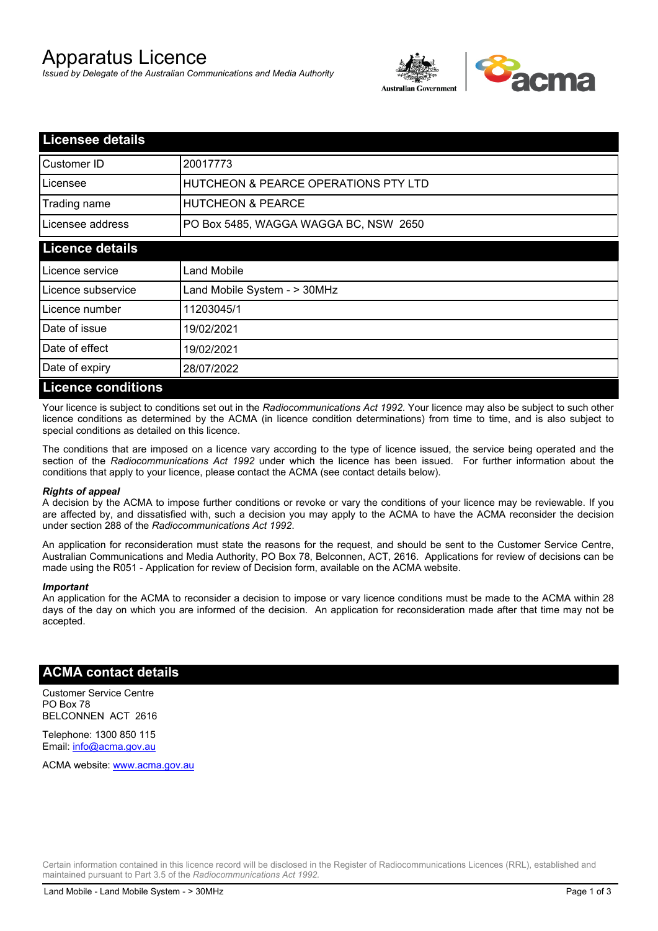# Apparatus Licence

*Issued by Delegate of the Australian Communications and Media Authority*



| <b>Licensee details</b>   |                                       |  |
|---------------------------|---------------------------------------|--|
| Customer ID               | 20017773                              |  |
| Licensee                  | HUTCHEON & PEARCE OPERATIONS PTY LTD  |  |
| Trading name              | <b>HUTCHEON &amp; PEARCE</b>          |  |
| Licensee address          | PO Box 5485, WAGGA WAGGA BC, NSW 2650 |  |
| <b>Licence details</b>    |                                       |  |
| Licence service           | Land Mobile                           |  |
| Licence subservice        | Land Mobile System - > 30MHz          |  |
| Licence number            | 11203045/1                            |  |
| Date of issue             | 19/02/2021                            |  |
| Date of effect            | 19/02/2021                            |  |
| Date of expiry            | 28/07/2022                            |  |
| <b>Licence conditions</b> |                                       |  |

Your licence is subject to conditions set out in the *Radiocommunications Act 1992*. Your licence may also be subject to such other licence conditions as determined by the ACMA (in licence condition determinations) from time to time, and is also subject to special conditions as detailed on this licence.

The conditions that are imposed on a licence vary according to the type of licence issued, the service being operated and the section of the *Radiocommunications Act 1992* under which the licence has been issued. For further information about the conditions that apply to your licence, please contact the ACMA (see contact details below).

#### *Rights of appeal*

A decision by the ACMA to impose further conditions or revoke or vary the conditions of your licence may be reviewable. If you are affected by, and dissatisfied with, such a decision you may apply to the ACMA to have the ACMA reconsider the decision under section 288 of the *Radiocommunications Act 1992*.

An application for reconsideration must state the reasons for the request, and should be sent to the Customer Service Centre, Australian Communications and Media Authority, PO Box 78, Belconnen, ACT, 2616. Applications for review of decisions can be made using the R051 - Application for review of Decision form, available on the ACMA website.

#### *Important*

An application for the ACMA to reconsider a decision to impose or vary licence conditions must be made to the ACMA within 28 days of the day on which you are informed of the decision. An application for reconsideration made after that time may not be accepted.

### **ACMA contact details**

Customer Service Centre PO Box 78 BELCONNEN ACT 2616

Telephone: 1300 850 115 Email: info@acma.gov.au

ACMA website: www.acma.gov.au

Certain information contained in this licence record will be disclosed in the Register of Radiocommunications Licences (RRL), established and maintained pursuant to Part 3.5 of the *Radiocommunications Act 1992.*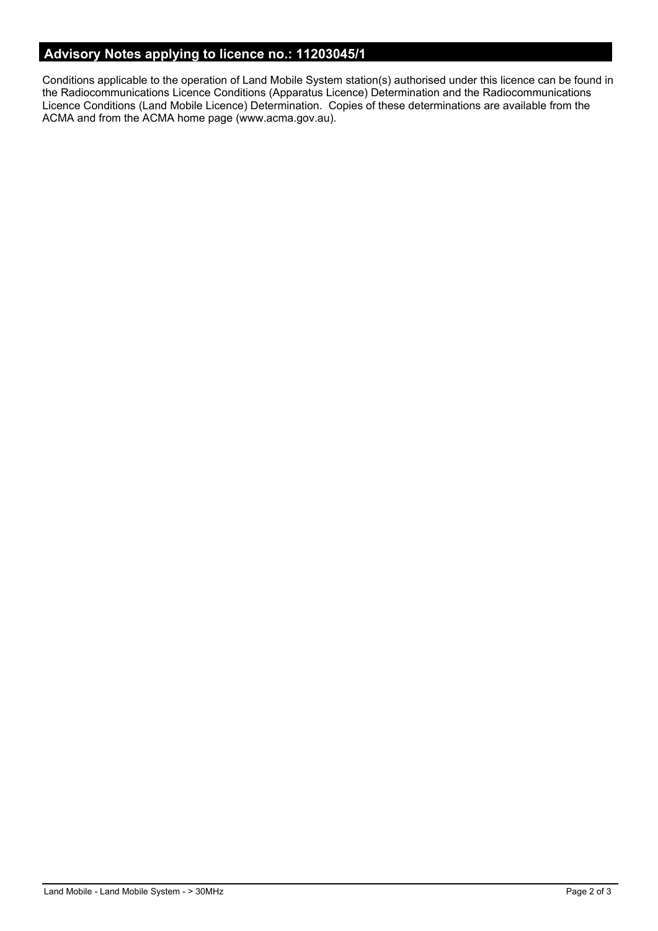# **Advisory Notes applying to licence no.: 11203045/1**

Conditions applicable to the operation of Land Mobile System station(s) authorised under this licence can be found in the Radiocommunications Licence Conditions (Apparatus Licence) Determination and the Radiocommunications Licence Conditions (Land Mobile Licence) Determination. Copies of these determinations are available from the ACMA and from the ACMA home page (www.acma.gov.au).